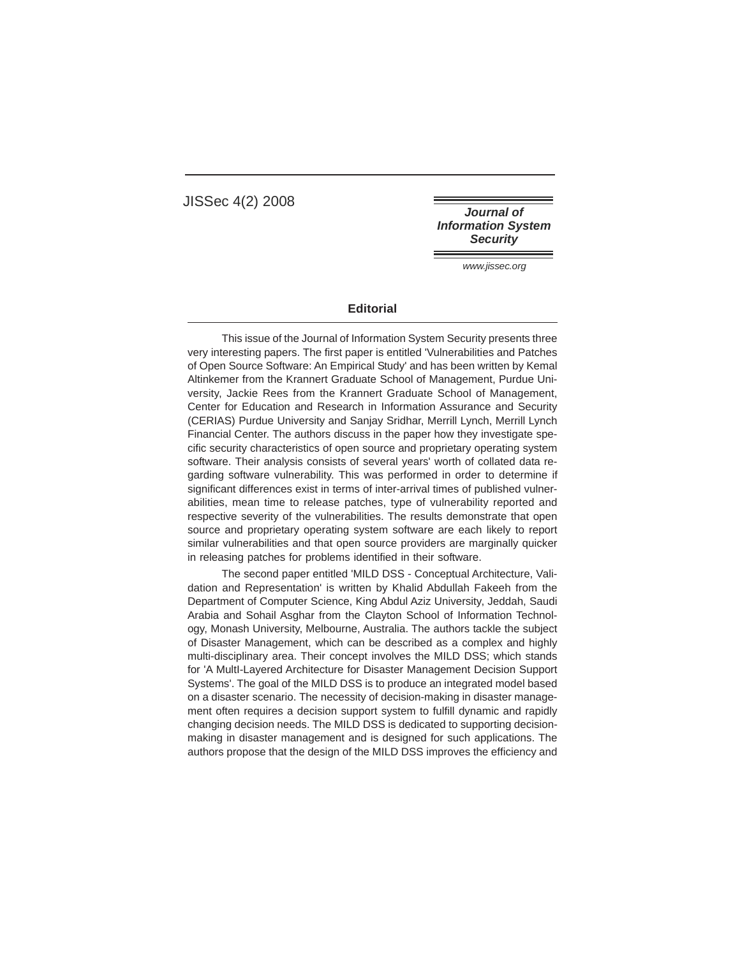JISSec 4(2) 2008

**Journal of Information System Security** 

www.jissec.org

## **Editorial**

This issue of the Journal of Information System Security presents three very interesting papers. The first paper is entitled 'Vulnerabilities and Patches of Open Source Software: An Empirical Study' and has been written by Kemal Altinkemer from the Krannert Graduate School of Management, Purdue University, Jackie Rees from the Krannert Graduate School of Management, Center for Education and Research in Information Assurance and Security (CERIAS) Purdue University and Sanjay Sridhar, Merrill Lynch, Merrill Lynch Financial Center. The authors discuss in the paper how they investigate specific security characteristics of open source and proprietary operating system software. Their analysis consists of several years' worth of collated data regarding software vulnerability. This was performed in order to determine if significant differences exist in terms of inter-arrival times of published vulnerabilities, mean time to release patches, type of vulnerability reported and respective severity of the vulnerabilities. The results demonstrate that open source and proprietary operating system software are each likely to report similar vulnerabilities and that open source providers are marginally quicker in releasing patches for problems identified in their software.

The second paper entitled 'MILD DSS - Conceptual Architecture, Validation and Representation' is written by Khalid Abdullah Fakeeh from the Department of Computer Science, King Abdul Aziz University, Jeddah, Saudi Arabia and Sohail Asghar from the Clayton School of Information Technology, Monash University, Melbourne, Australia. The authors tackle the subject of Disaster Management, which can be described as a complex and highly multi-disciplinary area. Their concept involves the MILD DSS; which stands for 'A MultI-Layered Architecture for Disaster Management Decision Support Systems'. The goal of the MILD DSS is to produce an integrated model based on a disaster scenario. The necessity of decision-making in disaster management often requires a decision support system to fulfill dynamic and rapidly changing decision needs. The MILD DSS is dedicated to supporting decisionmaking in disaster management and is designed for such applications. The authors propose that the design of the MILD DSS improves the efficiency and